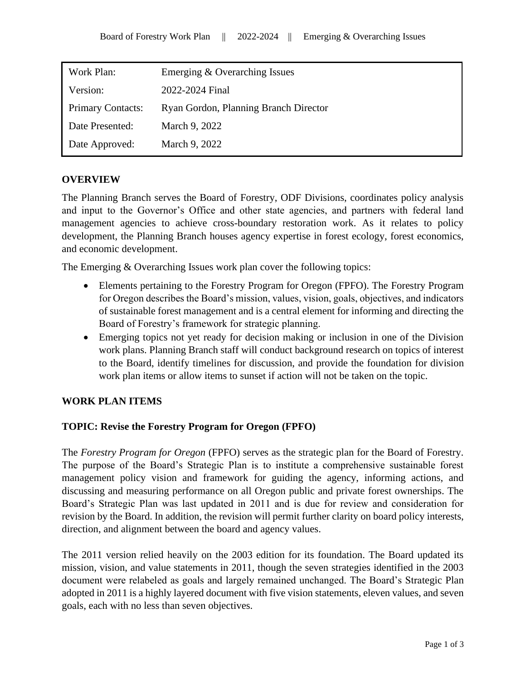| Work Plan:               | Emerging & Overarching Issues         |  |  |  |  |
|--------------------------|---------------------------------------|--|--|--|--|
| Version:                 | 2022-2024 Final                       |  |  |  |  |
| <b>Primary Contacts:</b> | Ryan Gordon, Planning Branch Director |  |  |  |  |
| Date Presented:          | March 9, 2022                         |  |  |  |  |
| Date Approved:           | March 9, 2022                         |  |  |  |  |

## **OVERVIEW**

The Planning Branch serves the Board of Forestry, ODF Divisions, coordinates policy analysis and input to the Governor's Office and other state agencies, and partners with federal land management agencies to achieve cross-boundary restoration work. As it relates to policy development, the Planning Branch houses agency expertise in forest ecology, forest economics, and economic development.

The Emerging & Overarching Issues work plan cover the following topics:

- Elements pertaining to the Forestry Program for Oregon (FPFO). The Forestry Program for Oregon describes the Board's mission, values, vision, goals, objectives, and indicators of sustainable forest management and is a central element for informing and directing the Board of Forestry's framework for strategic planning.
- Emerging topics not yet ready for decision making or inclusion in one of the Division work plans. Planning Branch staff will conduct background research on topics of interest to the Board, identify timelines for discussion, and provide the foundation for division work plan items or allow items to sunset if action will not be taken on the topic.

## **WORK PLAN ITEMS**

## **TOPIC: Revise the Forestry Program for Oregon (FPFO)**

The *Forestry Program for Oregon* (FPFO) serves as the strategic plan for the Board of Forestry. The purpose of the Board's Strategic Plan is to institute a comprehensive sustainable forest management policy vision and framework for guiding the agency, informing actions, and discussing and measuring performance on all Oregon public and private forest ownerships. The Board's Strategic Plan was last updated in 2011 and is due for review and consideration for revision by the Board. In addition, the revision will permit further clarity on board policy interests, direction, and alignment between the board and agency values.

The 2011 version relied heavily on the 2003 edition for its foundation. The Board updated its mission, vision, and value statements in 2011, though the seven strategies identified in the 2003 document were relabeled as goals and largely remained unchanged. The Board's Strategic Plan adopted in 2011 is a highly layered document with five vision statements, eleven values, and seven goals, each with no less than seven objectives.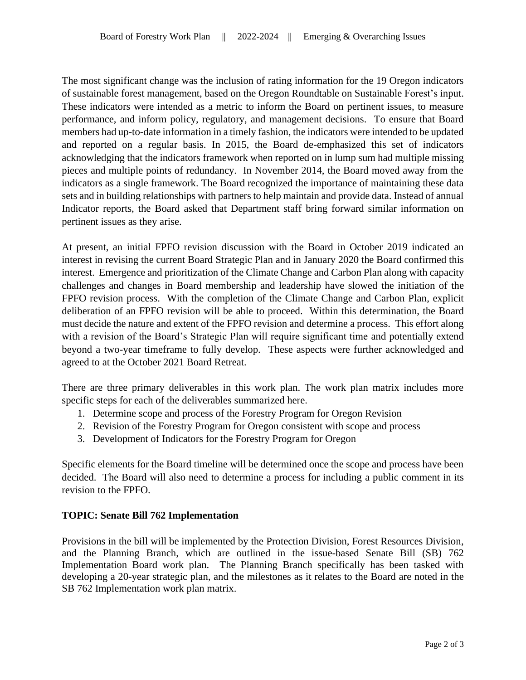The most significant change was the inclusion of rating information for the 19 Oregon indicators of sustainable forest management, based on the Oregon Roundtable on Sustainable Forest's input. These indicators were intended as a metric to inform the Board on pertinent issues, to measure performance, and inform policy, regulatory, and management decisions. To ensure that Board members had up-to-date information in a timely fashion, the indicators were intended to be updated and reported on a regular basis. In 2015, the Board de-emphasized this set of indicators acknowledging that the indicators framework when reported on in lump sum had multiple missing pieces and multiple points of redundancy. In November 2014, the Board moved away from the indicators as a single framework. The Board recognized the importance of maintaining these data sets and in building relationships with partners to help maintain and provide data. Instead of annual Indicator reports, the Board asked that Department staff bring forward similar information on pertinent issues as they arise.

At present, an initial FPFO revision discussion with the Board in October 2019 indicated an interest in revising the current Board Strategic Plan and in January 2020 the Board confirmed this interest. Emergence and prioritization of the Climate Change and Carbon Plan along with capacity challenges and changes in Board membership and leadership have slowed the initiation of the FPFO revision process. With the completion of the Climate Change and Carbon Plan, explicit deliberation of an FPFO revision will be able to proceed. Within this determination, the Board must decide the nature and extent of the FPFO revision and determine a process. This effort along with a revision of the Board's Strategic Plan will require significant time and potentially extend beyond a two-year timeframe to fully develop. These aspects were further acknowledged and agreed to at the October 2021 Board Retreat.

There are three primary deliverables in this work plan. The work plan matrix includes more specific steps for each of the deliverables summarized here.

- 1. Determine scope and process of the Forestry Program for Oregon Revision
- 2. Revision of the Forestry Program for Oregon consistent with scope and process
- 3. Development of Indicators for the Forestry Program for Oregon

Specific elements for the Board timeline will be determined once the scope and process have been decided. The Board will also need to determine a process for including a public comment in its revision to the FPFO.

## **TOPIC: Senate Bill 762 Implementation**

Provisions in the bill will be implemented by the Protection Division, Forest Resources Division, and the Planning Branch, which are outlined in the issue-based Senate Bill (SB) 762 Implementation Board work plan. The Planning Branch specifically has been tasked with developing a 20-year strategic plan, and the milestones as it relates to the Board are noted in the SB 762 Implementation work plan matrix.